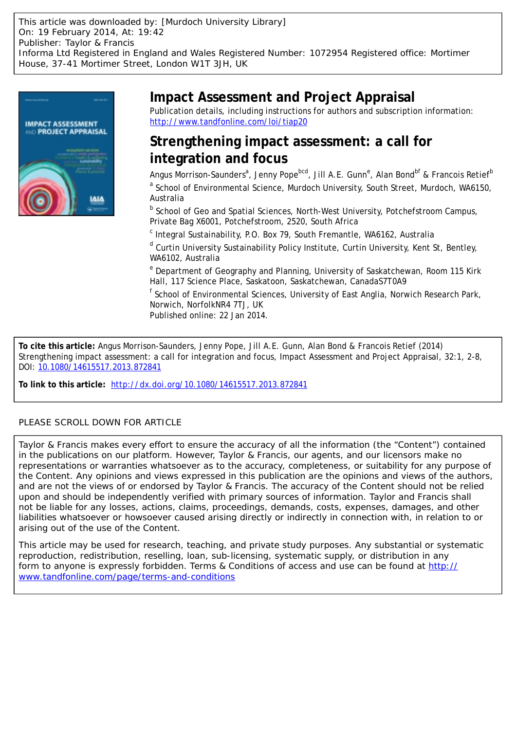This article was downloaded by: [Murdoch University Library] On: 19 February 2014, At: 19:42 Publisher: Taylor & Francis Informa Ltd Registered in England and Wales Registered Number: 1072954 Registered office: Mortimer House, 37-41 Mortimer Street, London W1T 3JH, UK



## **Impact Assessment and Project Appraisal**

Publication details, including instructions for authors and subscription information: <http://www.tandfonline.com/loi/tiap20>

# **Strengthening impact assessment: a call for integration and focus**

Angus Morrison-Saunders<sup>a</sup>, Jenny Pope<sup>bcd</sup>, Jill A.E. Gunn<sup>e</sup>, Alan Bond<sup>bf</sup> & Francois Retief<sup>b</sup>

<sup>a</sup> School of Environmental Science, Murdoch University, South Street, Murdoch, WA6150, Australia

**b** School of Geo and Spatial Sciences, North-West University, Potchefstroom Campus, Private Bag X6001, Potchefstroom, 2520, South Africa

 $\textdegree$  Integral Sustainability, P.O. Box 79, South Fremantle, WA6162, Australia

<sup>d</sup> Curtin University Sustainability Policy Institute, Curtin University, Kent St, Bentley, WA6102, Australia

<sup>e</sup> Department of Geography and Planning, University of Saskatchewan, Room 115 Kirk Hall, 117 Science Place, Saskatoon, Saskatchewan, CanadaS7T0A9

<sup>f</sup> School of Environmental Sciences, University of East Anglia, Norwich Research Park, Norwich, NorfolkNR4 7TJ, UK

Published online: 22 Jan 2014.

**To cite this article:** Angus Morrison-Saunders, Jenny Pope, Jill A.E. Gunn, Alan Bond & Francois Retief (2014) Strengthening impact assessment: a call for integration and focus, Impact Assessment and Project Appraisal, 32:1, 2-8, DOI: [10.1080/14615517.2013.872841](http://www.tandfonline.com/action/showCitFormats?doi=10.1080/14615517.2013.872841)

**To link to this article:** <http://dx.doi.org/10.1080/14615517.2013.872841>

## PLEASE SCROLL DOWN FOR ARTICLE

Taylor & Francis makes every effort to ensure the accuracy of all the information (the "Content") contained in the publications on our platform. However, Taylor & Francis, our agents, and our licensors make no representations or warranties whatsoever as to the accuracy, completeness, or suitability for any purpose of the Content. Any opinions and views expressed in this publication are the opinions and views of the authors, and are not the views of or endorsed by Taylor & Francis. The accuracy of the Content should not be relied upon and should be independently verified with primary sources of information. Taylor and Francis shall not be liable for any losses, actions, claims, proceedings, demands, costs, expenses, damages, and other liabilities whatsoever or howsoever caused arising directly or indirectly in connection with, in relation to or arising out of the use of the Content.

This article may be used for research, teaching, and private study purposes. Any substantial or systematic reproduction, redistribution, reselling, loan, sub-licensing, systematic supply, or distribution in any form to anyone is expressly forbidden. Terms & Conditions of access and use can be found at [http://](http://www.tandfonline.com/page/terms-and-conditions) [www.tandfonline.com/page/terms-and-conditions](http://www.tandfonline.com/page/terms-and-conditions)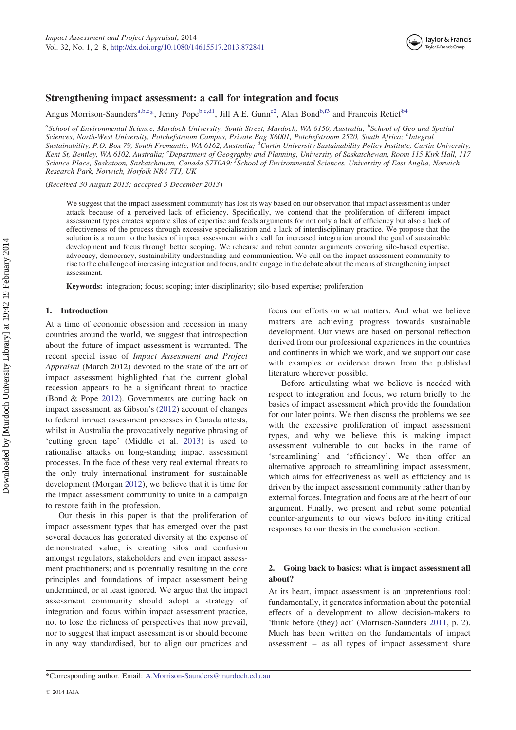

## Strengthening impact assessment: a call for integration and focus

Angus Morrison-Saunders<sup>[a,b,c](#page-1-0)\*</sup>, J[e](#page-1-2)nny Pope<sup>b,c,d1</sup>, Jill A.E. Gunn<sup>e[2](#page-6-1)</sup>, Alan Bond<sup>[b,f](#page-1-0)[3](#page-6-2)</sup> and Francois Retief<sup>[b](#page-1-0)[4](#page-6-3)</sup>

<span id="page-1-2"></span><span id="page-1-0"></span><sup>a</sup>School of Environmental Science, Murdoch University, South Street, Murdoch, WA 6150, Australia; <sup>b</sup>School of Geo and Spatial Sciences, North-West University, Potchefstroom Campus, Private Bag X6001, Potchefstroom 2520, South Africa; <sup>c</sup>Integral Sustainability, P.O. Box 79, South Fremantle, WA 6162, Australia; <sup>d</sup>Curtin University Sustainability Policy Institute, Curtin University, Kent St, Bentley, WA 6102, Australia; <sup>e</sup>Department of Geography and Planning, University of Saskatchewan, Room 115 Kirk Hall, 117 Science Place, Saskatoon, Saskatchewan, Canada S7T0A9, <sup>f</sup>School of Environmental Sciences, University of East Anglia, Norwich Research Park, Norwich, Norfolk NR4 7TJ, UK

(Received 30 August 2013; accepted 3 December 2013)

We suggest that the impact assessment community has lost its way based on our observation that impact assessment is under attack because of a perceived lack of efficiency. Specifically, we contend that the proliferation of different impact assessment types creates separate silos of expertise and feeds arguments for not only a lack of efficiency but also a lack of effectiveness of the process through excessive specialisation and a lack of interdisciplinary practice. We propose that the solution is a return to the basics of impact assessment with a call for increased integration around the goal of sustainable development and focus through better scoping. We rehearse and rebut counter arguments covering silo-based expertise, advocacy, democracy, sustainability understanding and communication. We call on the impact assessment community to rise to the challenge of increasing integration and focus, and to engage in the debate about the means of strengthening impact assessment.

Keywords: integration; focus; scoping; inter-disciplinarity; silo-based expertise; proliferation

### 1. Introduction

At a time of economic obsession and recession in many countries around the world, we suggest that introspection about the future of impact assessment is warranted. The recent special issue of Impact Assessment and Project Appraisal (March 2012) devoted to the state of the art of impact assessment highlighted that the current global recession appears to be a significant threat to practice (Bond & Pope [2012](#page-6-4)). Governments are cutting back on impact assessment, as Gibson's [\(2012](#page-7-0)) account of changes to federal impact assessment processes in Canada attests, whilst in Australia the provocatively negative phrasing of 'cutting green tape' (Middle et al. [2013\)](#page-7-1) is used to rationalise attacks on long-standing impact assessment processes. In the face of these very real external threats to the only truly international instrument for sustainable development (Morgan [2012](#page-7-2)), we believe that it is time for the impact assessment community to unite in a campaign to restore faith in the profession.

<span id="page-1-1"></span>Our thesis in this paper is that the proliferation of impact assessment types that has emerged over the past several decades has generated diversity at the expense of demonstrated value; is creating silos and confusion amongst regulators, stakeholders and even impact assessment practitioners; and is potentially resulting in the core principles and foundations of impact assessment being undermined, or at least ignored. We argue that the impact assessment community should adopt a strategy of integration and focus within impact assessment practice, not to lose the richness of perspectives that now prevail, nor to suggest that impact assessment is or should become in any way standardised, but to align our practices and

focus our efforts on what matters. And what we believe matters are achieving progress towards sustainable development. Our views are based on personal reflection derived from our professional experiences in the countries and continents in which we work, and we support our case with examples or evidence drawn from the published literature wherever possible.

Before articulating what we believe is needed with respect to integration and focus, we return briefly to the basics of impact assessment which provide the foundation for our later points. We then discuss the problems we see with the excessive proliferation of impact assessment types, and why we believe this is making impact assessment vulnerable to cut backs in the name of 'streamlining' and 'efficiency'. We then offer an alternative approach to streamlining impact assessment, which aims for effectiveness as well as efficiency and is driven by the impact assessment community rather than by external forces. Integration and focus are at the heart of our argument. Finally, we present and rebut some potential counter-arguments to our views before inviting critical responses to our thesis in the conclusion section.

#### 2. Going back to basics: what is impact assessment all about?

At its heart, impact assessment is an unpretentious tool: fundamentally, it generates information about the potential effects of a development to allow decision-makers to 'think before (they) act' (Morrison-Saunders [2011](#page-7-3), p. 2). Much has been written on the fundamentals of impact assessment – as all types of impact assessment share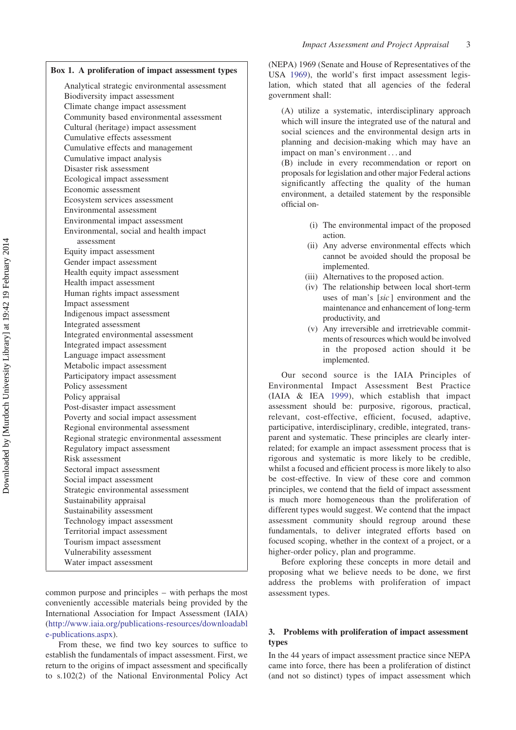## Analytical strategic environmental assessment Biodiversity impact assessment Climate change impact assessment Community based environmental assessment Cultural (heritage) impact assessment Cumulative effects assessment Cumulative effects and management Cumulative impact analysis Disaster risk assessment Ecological impact assessment Economic assessment Ecosystem services assessment Environmental assessment Environmental impact assessment Environmental, social and health impact assessment Equity impact assessment Gender impact assessment Health equity impact assessment Health impact assessment Human rights impact assessment Impact assessment Indigenous impact assessment Integrated assessment Integrated environmental assessment Integrated impact assessment Language impact assessment Metabolic impact assessment Participatory impact assessment Policy assessment Policy appraisal Post-disaster impact assessment Poverty and social impact assessment Regional environmental assessment Regional strategic environmental assessment Regulatory impact assessment Risk assessment Sectoral impact assessment Social impact assessment Strategic environmental assessment Sustainability appraisal Sustainability assessment Technology impact assessment Territorial impact assessment Tourism impact assessment Vulnerability assessment Water impact assessment

Box 1. A proliferation of impact assessment types

common purpose and principles – with perhaps the most conveniently accessible materials being provided by the International Association for Impact Assessment (IAIA) ([http://www.iaia.org/publications-resources/downloadabl](http://www.iaia.org/publications-resources/downloadable-publications.aspx) [e-publications.aspx](http://www.iaia.org/publications-resources/downloadable-publications.aspx)).

From these, we find two key sources to suffice to establish the fundamentals of impact assessment. First, we return to the origins of impact assessment and specifically to s.102(2) of the National Environmental Policy Act (NEPA) 1969 (Senate and House of Representatives of the USA [1969](#page-7-4)), the world's first impact assessment legislation, which stated that all agencies of the federal government shall:

(A) utilize a systematic, interdisciplinary approach which will insure the integrated use of the natural and social sciences and the environmental design arts in planning and decision-making which may have an impact on man's environment ... and

(B) include in every recommendation or report on proposals for legislation and other major Federal actions significantly affecting the quality of the human environment, a detailed statement by the responsible official on-

- (i) The environmental impact of the proposed action.
- (ii) Any adverse environmental effects which cannot be avoided should the proposal be implemented.
- (iii) Alternatives to the proposed action.
- (iv) The relationship between local short-term uses of man's [sic ] environment and the maintenance and enhancement of long-term productivity, and
- (v) Any irreversible and irretrievable commitments of resources which would be involved in the proposed action should it be implemented.

Our second source is the IAIA Principles of Environmental Impact Assessment Best Practice (IAIA & IEA [1999](#page-7-5)), which establish that impact assessment should be: purposive, rigorous, practical, relevant, cost-effective, efficient, focused, adaptive, participative, interdisciplinary, credible, integrated, transparent and systematic. These principles are clearly interrelated; for example an impact assessment process that is rigorous and systematic is more likely to be credible, whilst a focused and efficient process is more likely to also be cost-effective. In view of these core and common principles, we contend that the field of impact assessment is much more homogeneous than the proliferation of different types would suggest. We contend that the impact assessment community should regroup around these fundamentals, to deliver integrated efforts based on focused scoping, whether in the context of a project, or a higher-order policy, plan and programme.

Before exploring these concepts in more detail and proposing what we believe needs to be done, we first address the problems with proliferation of impact assessment types.

### 3. Problems with proliferation of impact assessment types

In the 44 years of impact assessment practice since NEPA came into force, there has been a proliferation of distinct (and not so distinct) types of impact assessment which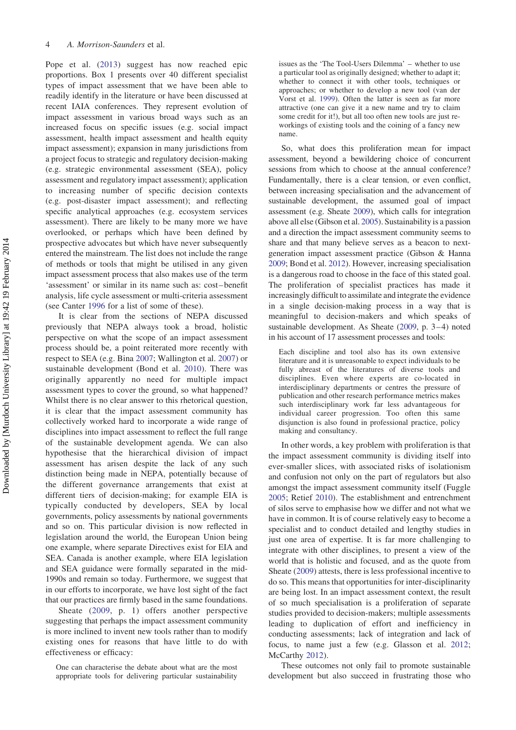Pope et al. [\(2013\)](#page-7-6) suggest has now reached epic proportions. Box 1 presents over 40 different specialist types of impact assessment that we have been able to readily identify in the literature or have been discussed at recent IAIA conferences. They represent evolution of impact assessment in various broad ways such as an increased focus on specific issues (e.g. social impact assessment, health impact assessment and health equity impact assessment); expansion in many jurisdictions from a project focus to strategic and regulatory decision-making (e.g. strategic environmental assessment (SEA), policy assessment and regulatory impact assessment); application to increasing number of specific decision contexts (e.g. post-disaster impact assessment); and reflecting specific analytical approaches (e.g. ecosystem services assessment). There are likely to be many more we have overlooked, or perhaps which have been defined by prospective advocates but which have never subsequently entered the mainstream. The list does not include the range of methods or tools that might be utilised in any given impact assessment process that also makes use of the term 'assessment' or similar in its name such as: cost – benefit analysis, life cycle assessment or multi-criteria assessment (see Canter [1996](#page-7-7) for a list of some of these).

It is clear from the sections of NEPA discussed previously that NEPA always took a broad, holistic perspective on what the scope of an impact assessment process should be, a point reiterated more recently with respect to SEA (e.g. Bina [2007;](#page-6-5) Wallington et al. [2007\)](#page-7-8) or sustainable development (Bond et al. [2010](#page-7-9)). There was originally apparently no need for multiple impact assessment types to cover the ground, so what happened? Whilst there is no clear answer to this rhetorical question, it is clear that the impact assessment community has collectively worked hard to incorporate a wide range of disciplines into impact assessment to reflect the full range of the sustainable development agenda. We can also hypothesise that the hierarchical division of impact assessment has arisen despite the lack of any such distinction being made in NEPA, potentially because of the different governance arrangements that exist at different tiers of decision-making; for example EIA is typically conducted by developers, SEA by local governments, policy assessments by national governments and so on. This particular division is now reflected in legislation around the world, the European Union being one example, where separate Directives exist for EIA and SEA. Canada is another example, where EIA legislation and SEA guidance were formally separated in the mid-1990s and remain so today. Furthermore, we suggest that in our efforts to incorporate, we have lost sight of the fact that our practices are firmly based in the same foundations.

Sheate ([2009,](#page-7-10) p. 1) offers another perspective suggesting that perhaps the impact assessment community is more inclined to invent new tools rather than to modify existing ones for reasons that have little to do with effectiveness or efficacy:

issues as the 'The Tool-Users Dilemma' – whether to use a particular tool as originally designed; whether to adapt it; whether to connect it with other tools, techniques or approaches; or whether to develop a new tool (van der Vorst et al. [1999](#page-7-11)). Often the latter is seen as far more attractive (one can give it a new name and try to claim some credit for it!), but all too often new tools are just reworkings of existing tools and the coining of a fancy new name.

So, what does this proliferation mean for impact assessment, beyond a bewildering choice of concurrent sessions from which to choose at the annual conference? Fundamentally, there is a clear tension, or even conflict, between increasing specialisation and the advancement of sustainable development, the assumed goal of impact assessment (e.g. Sheate [2009\)](#page-7-10), which calls for integration above all else (Gibson et al. [2005](#page-7-12)). Sustainability is a passion and a direction the impact assessment community seems to share and that many believe serves as a beacon to nextgeneration impact assessment practice (Gibson & Hanna [2009](#page-7-13); Bond et al. [2012](#page-6-6)). However, increasing specialisation is a dangerous road to choose in the face of this stated goal. The proliferation of specialist practices has made it increasingly difficult to assimilate and integrate the evidence in a single decision-making process in a way that is meaningful to decision-makers and which speaks of sustainable development. As Sheate ([2009](#page-7-10), p. 3–4) noted in his account of 17 assessment processes and tools:

Each discipline and tool also has its own extensive literature and it is unreasonable to expect individuals to be fully abreast of the literatures of diverse tools and disciplines. Even where experts are co-located in interdisciplinary departments or centres the pressure of publication and other research performance metrics makes such interdisciplinary work far less advantageous for individual career progression. Too often this same disjunction is also found in professional practice, policy making and consultancy.

In other words, a key problem with proliferation is that the impact assessment community is dividing itself into ever-smaller slices, with associated risks of isolationism and confusion not only on the part of regulators but also amongst the impact assessment community itself (Fuggle [2005;](#page-7-14) Retief [2010\)](#page-7-15). The establishment and entrenchment of silos serve to emphasise how we differ and not what we have in common. It is of course relatively easy to become a specialist and to conduct detailed and lengthy studies in just one area of expertise. It is far more challenging to integrate with other disciplines, to present a view of the world that is holistic and focused, and as the quote from Sheate ([2009\)](#page-7-10) attests, there is less professional incentive to do so. This means that opportunities for inter-disciplinarity are being lost. In an impact assessment context, the result of so much specialisation is a proliferation of separate studies provided to decision-makers; multiple assessments leading to duplication of effort and inefficiency in conducting assessments; lack of integration and lack of focus, to name just a few (e.g. Glasson et al. [2012;](#page-7-16) McCarthy [2012](#page-7-17)).

These outcomes not only fail to promote sustainable development but also succeed in frustrating those who

One can characterise the debate about what are the most appropriate tools for delivering particular sustainability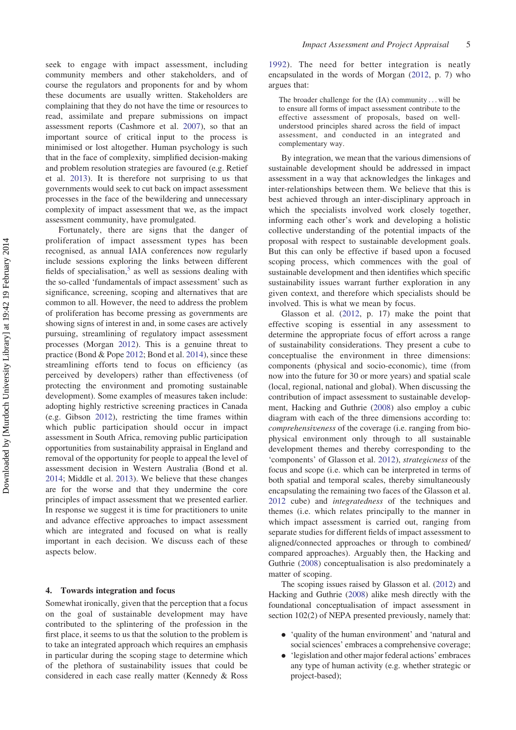seek to engage with impact assessment, including community members and other stakeholders, and of course the regulators and proponents for and by whom these documents are usually written. Stakeholders are complaining that they do not have the time or resources to read, assimilate and prepare submissions on impact assessment reports (Cashmore et al. [2007](#page-7-18)), so that an important source of critical input to the process is minimised or lost altogether. Human psychology is such that in the face of complexity, simplified decision-making and problem resolution strategies are favoured (e.g. Retief et al. [2013\)](#page-7-19). It is therefore not surprising to us that governments would seek to cut back on impact assessment processes in the face of the bewildering and unnecessary complexity of impact assessment that we, as the impact assessment community, have promulgated.

Fortunately, there are signs that the danger of proliferation of impact assessment types has been recognised, as annual IAIA conferences now regularly include sessions exploring the links between different fields of specialisation,<sup>[5](#page-6-7)</sup> as well as sessions dealing with the so-called 'fundamentals of impact assessment' such as significance, screening, scoping and alternatives that are common to all. However, the need to address the problem of proliferation has become pressing as governments are showing signs of interest in and, in some cases are actively pursuing, streamlining of regulatory impact assessment processes (Morgan [2012](#page-7-2)). This is a genuine threat to practice (Bond & Pope [2012](#page-6-4); Bond et al. [2014\)](#page-6-8), since these streamlining efforts tend to focus on efficiency (as perceived by developers) rather than effectiveness (of protecting the environment and promoting sustainable development). Some examples of measures taken include: adopting highly restrictive screening practices in Canada (e.g. Gibson [2012\)](#page-7-0), restricting the time frames within which public participation should occur in impact assessment in South Africa, removing public participation opportunities from sustainability appraisal in England and removal of the opportunity for people to appeal the level of assessment decision in Western Australia (Bond et al. [2014;](#page-6-8) Middle et al. [2013\)](#page-7-1). We believe that these changes are for the worse and that they undermine the core principles of impact assessment that we presented earlier. In response we suggest it is time for practitioners to unite and advance effective approaches to impact assessment which are integrated and focused on what is really important in each decision. We discuss each of these aspects below.

#### 4. Towards integration and focus

Somewhat ironically, given that the perception that a focus on the goal of sustainable development may have contributed to the splintering of the profession in the first place, it seems to us that the solution to the problem is to take an integrated approach which requires an emphasis in particular during the scoping stage to determine which of the plethora of sustainability issues that could be considered in each case really matter (Kennedy & Ross [1992\)](#page-7-20). The need for better integration is neatly encapsulated in the words of Morgan ([2012](#page-7-2), p. 7) who argues that:

The broader challenge for the (IA) community ... will be to ensure all forms of impact assessment contribute to the effective assessment of proposals, based on wellunderstood principles shared across the field of impact assessment, and conducted in an integrated and complementary way.

By integration, we mean that the various dimensions of sustainable development should be addressed in impact assessment in a way that acknowledges the linkages and inter-relationships between them. We believe that this is best achieved through an inter-disciplinary approach in which the specialists involved work closely together, informing each other's work and developing a holistic collective understanding of the potential impacts of the proposal with respect to sustainable development goals. But this can only be effective if based upon a focused scoping process, which commences with the goal of sustainable development and then identifies which specific sustainability issues warrant further exploration in any given context, and therefore which specialists should be involved. This is what we mean by focus.

Glasson et al. ([2012,](#page-7-16) p. 17) make the point that effective scoping is essential in any assessment to determine the appropriate focus of effort across a range of sustainability considerations. They present a cube to conceptualise the environment in three dimensions: components (physical and socio-economic), time (from now into the future for 30 or more years) and spatial scale (local, regional, national and global). When discussing the contribution of impact assessment to sustainable development, Hacking and Guthrie ([2008\)](#page-7-21) also employ a cubic diagram with each of the three dimensions according to: comprehensiveness of the coverage (i.e. ranging from biophysical environment only through to all sustainable development themes and thereby corresponding to the 'components' of Glasson et al. [2012](#page-7-16)), strategicness of the focus and scope (i.e. which can be interpreted in terms of both spatial and temporal scales, thereby simultaneously encapsulating the remaining two faces of the Glasson et al. [2012](#page-7-16) cube) and integratedness of the techniques and themes (i.e. which relates principally to the manner in which impact assessment is carried out, ranging from separate studies for different fields of impact assessment to aligned/connected approaches or through to combined/ compared approaches). Arguably then, the Hacking and Guthrie ([2008\)](#page-7-21) conceptualisation is also predominately a matter of scoping.

The scoping issues raised by Glasson et al. ([2012](#page-7-16)) and Hacking and Guthrie ([2008](#page-7-21)) alike mesh directly with the foundational conceptualisation of impact assessment in section 102(2) of NEPA presented previously, namely that:

- . 'quality of the human environment' and 'natural and social sciences' embraces a comprehensive coverage;
- . 'legislation and other major federal actions' embraces any type of human activity (e.g. whether strategic or project-based);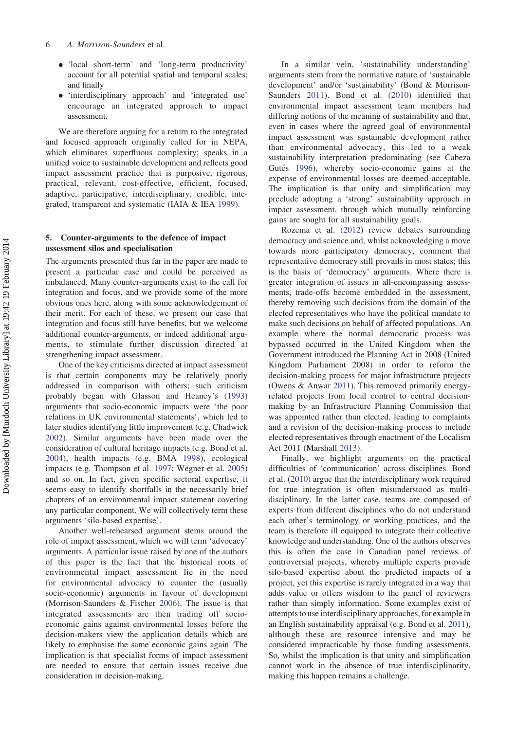- . 'local short-term' and 'long-term productivity' account for all potential spatial and temporal scales; and finally
- . 'interdisciplinary approach' and 'integrated use' encourage an integrated approach to impact assessment.

We are therefore arguing for a return to the integrated and focused approach originally called for in NEPA, which eliminates superfluous complexity; speaks in a unified voice to sustainable development and reflects good impact assessment practice that is purposive, rigorous, practical, relevant, cost-effective, efficient, focused, adaptive, participative, interdisciplinary, credible, integrated, transparent and systematic (IAIA & IEA [1999](#page-7-5)).

### 5. Counter-arguments to the defence of impact assessment silos and specialisation

The arguments presented thus far in the paper are made to present a particular case and could be perceived as imbalanced. Many counter-arguments exist to the call for integration and focus, and we provide some of the more obvious ones here, along with some acknowledgement of their merit. For each of these, we present our case that integration and focus still have benefits, but we welcome additional counter-arguments, or indeed additional arguments, to stimulate further discussion directed at strengthening impact assessment.

One of the key criticisms directed at impact assessment is that certain components may be relatively poorly addressed in comparison with others; such criticism probably began with Glasson and Heaney's [\(1993](#page-7-22)) arguments that socio-economic impacts were 'the poor relations in UK environmental statements', which led to later studies identifying little improvement (e.g. Chadwick [2002\)](#page-7-23). Similar arguments have been made over the consideration of cultural heritage impacts (e.g. Bond et al. [2004\)](#page-6-9), health impacts (e.g. BMA [1998](#page-7-24)), ecological impacts (e.g. Thompson et al. [1997;](#page-7-25) Wegner et al. [2005](#page-7-26)) and so on. In fact, given specific sectoral expertise, it seems easy to identify shortfalls in the necessarily brief chapters of an environmental impact statement covering any particular component. We will collectively term these arguments 'silo-based expertise'.

Another well-rehearsed argument stems around the role of impact assessment, which we will term 'advocacy' arguments. A particular issue raised by one of the authors of this paper is the fact that the historical roots of environmental impact assessment lie in the need for environmental advocacy to counter the (usually socio-economic) arguments in favour of development (Morrison-Saunders & Fischer [2006](#page-7-27)). The issue is that integrated assessments are then trading off socioeconomic gains against environmental losses before the decision-makers view the application details which are likely to emphasise the same economic gains again. The implication is that specialist forms of impact assessment are needed to ensure that certain issues receive due consideration in decision-making.

In a similar vein, 'sustainability understanding' arguments stem from the normative nature of 'sustainable development' and/or 'sustainability' (Bond & Morrison-Saunders [2011](#page-6-10)). Bond et al. [\(2010](#page-7-9)) identified that environmental impact assessment team members had differing notions of the meaning of sustainability and that, even in cases where the agreed goal of environmental impact assessment was sustainable development rather than environmental advocacy, this led to a weak sustainability interpretation predominating (see Cabeza Gutés [1996\)](#page-7-28), whereby socio-economic gains at the expense of environmental losses are deemed acceptable. The implication is that unity and simplification may preclude adopting a 'strong' sustainability approach in impact assessment, through which mutually reinforcing gains are sought for all sustainability goals.

Rozema et al. ([2012\)](#page-7-29) review debates surrounding democracy and science and, whilst acknowledging a move towards more participatory democracy, comment that representative democracy still prevails in most states; this is the basis of 'democracy' arguments. Where there is greater integration of issues in all-encompassing assessments, trade-offs become embedded in the assessment, thereby removing such decisions from the domain of the elected representatives who have the political mandate to make such decisions on behalf of affected populations. An example where the normal democratic process was bypassed occurred in the United Kingdom when the Government introduced the Planning Act in 2008 (United Kingdom Parliament 2008) in order to reform the decision-making process for major infrastructure projects (Owens & Anwar [2011](#page-7-30)). This removed primarily energyrelated projects from local control to central decisionmaking by an Infrastructure Planning Commission that was appointed rather than elected, leading to complaints and a revision of the decision-making process to include elected representatives through enactment of the Localism Act 2011 (Marshall [2013\)](#page-7-31).

Finally, we highlight arguments on the practical difficulties of 'communication' across disciplines. Bond et al. [\(2010](#page-7-9)) argue that the interdisciplinary work required for true integration is often misunderstood as multidisciplinary. In the latter case, teams are composed of experts from different disciplines who do not understand each other's terminology or working practices, and the team is therefore ill equipped to integrate their collective knowledge and understanding. One of the authors observes this is often the case in Canadian panel reviews of controversial projects, whereby multiple experts provide silo-based expertise about the predicted impacts of a project, yet this expertise is rarely integrated in a way that adds value or offers wisdom to the panel of reviewers rather than simply information. Some examples exist of attempts to use interdisciplinary approaches, for example in an English sustainability appraisal (e.g. Bond et al. [2011\)](#page-6-11), although these are resource intensive and may be considered impracticable by those funding assessments. So, whilst the implication is that unity and simplification cannot work in the absence of true interdisciplinarity, making this happen remains a challenge.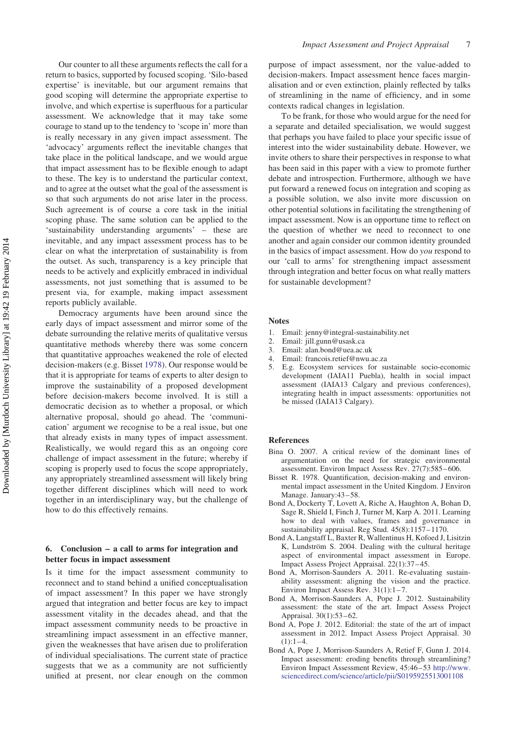Our counter to all these arguments reflects the call for a return to basics, supported by focused scoping. 'Silo-based expertise' is inevitable, but our argument remains that good scoping will determine the appropriate expertise to involve, and which expertise is superfluous for a particular assessment. We acknowledge that it may take some courage to stand up to the tendency to 'scope in' more than is really necessary in any given impact assessment. The 'advocacy' arguments reflect the inevitable changes that take place in the political landscape, and we would argue that impact assessment has to be flexible enough to adapt to these. The key is to understand the particular context, and to agree at the outset what the goal of the assessment is so that such arguments do not arise later in the process. Such agreement is of course a core task in the initial scoping phase. The same solution can be applied to the 'sustainability understanding arguments' – these are inevitable, and any impact assessment process has to be clear on what the interpretation of sustainability is from the outset. As such, transparency is a key principle that needs to be actively and explicitly embraced in individual assessments, not just something that is assumed to be present via, for example, making impact assessment reports publicly available.

Democracy arguments have been around since the early days of impact assessment and mirror some of the debate surrounding the relative merits of qualitative versus quantitative methods whereby there was some concern that quantitative approaches weakened the role of elected decision-makers (e.g. Bisset [1978\)](#page-6-12). Our response would be that it is appropriate for teams of experts to alter design to improve the sustainability of a proposed development before decision-makers become involved. It is still a democratic decision as to whether a proposal, or which alternative proposal, should go ahead. The 'communication' argument we recognise to be a real issue, but one that already exists in many types of impact assessment. Realistically, we would regard this as an ongoing core challenge of impact assessment in the future; whereby if scoping is properly used to focus the scope appropriately, any appropriately streamlined assessment will likely bring together different disciplines which will need to work together in an interdisciplinary way, but the challenge of how to do this effectively remains.

#### 6. Conclusion – a call to arms for integration and better focus in impact assessment

Is it time for the impact assessment community to reconnect and to stand behind a unified conceptualisation of impact assessment? In this paper we have strongly argued that integration and better focus are key to impact assessment vitality in the decades ahead, and that the impact assessment community needs to be proactive in streamlining impact assessment in an effective manner, given the weaknesses that have arisen due to proliferation of individual specialisations. The current state of practice suggests that we as a community are not sufficiently unified at present, nor clear enough on the common purpose of impact assessment, nor the value-added to decision-makers. Impact assessment hence faces marginalisation and or even extinction, plainly reflected by talks of streamlining in the name of efficiency, and in some contexts radical changes in legislation.

To be frank, for those who would argue for the need for a separate and detailed specialisation, we would suggest that perhaps you have failed to place your specific issue of interest into the wider sustainability debate. However, we invite others to share their perspectives in response to what has been said in this paper with a view to promote further debate and introspection. Furthermore, although we have put forward a renewed focus on integration and scoping as a possible solution, we also invite more discussion on other potential solutions in facilitating the strengthening of impact assessment. Now is an opportune time to reflect on the question of whether we need to reconnect to one another and again consider our common identity grounded in the basics of impact assessment. How do you respond to our 'call to arms' for strengthening impact assessment through integration and better focus on what really matters for sustainable development?

#### <span id="page-6-0"></span>**Notes**

- <span id="page-6-1"></span>1. Email: jenny@integral-sustainability.net
- <span id="page-6-2"></span>2. Email: jill.gunn@usask.ca
- <span id="page-6-3"></span>3. Email: alan.bond@uea.ac.uk
- <span id="page-6-7"></span>4. Email: francois.retief@nwu.ac.za
- 5. E.g. Ecosystem services for sustainable socio-economic development (IAIA11 Puebla), health in social impact assessment (IAIA13 Calgary and previous conferences), integrating health in impact assessments: opportunities not be missed (IAIA13 Calgary).

#### <span id="page-6-5"></span>References

- <span id="page-6-12"></span>Bina O. 2007. A critical review of the dominant lines of argumentation on the need for strategic environmental assessment. Environ Impact Assess Rev. 27(7):585– 606.
- <span id="page-6-11"></span>Bisset R. 1978. Quantification, decision-making and environmental impact assessment in the United Kingdom. J Environ Manage. January:43 –58.
- Bond A, Dockerty T, Lovett A, Riche A, Haughton A, Bohan D, Sage R, Shield I, Finch J, Turner M, Karp A. 2011. Learning how to deal with values, frames and governance in sustainability appraisal. Reg Stud. 45(8):1157– 1170.
- <span id="page-6-9"></span>Bond A, Langstaff L, Baxter R, Wallentinus H, Kofoed J, Lisitzin K, Lundström S. 2004. Dealing with the cultural heritage aspect of environmental impact assessment in Europe. Impact Assess Project Appraisal. 22(1):37 – 45.
- <span id="page-6-10"></span><span id="page-6-6"></span>Bond A, Morrison-Saunders A. 2011. Re-evaluating sustainability assessment: aligning the vision and the practice. Environ Impact Assess Rev. 31(1):1-7.
- <span id="page-6-4"></span>Bond A, Morrison-Saunders A, Pope J. 2012. Sustainability assessment: the state of the art. Impact Assess Project Appraisal. 30(1):53-62.
- <span id="page-6-8"></span>Bond A, Pope J. 2012. Editorial: the state of the art of impact assessment in 2012. Impact Assess Project Appraisal. 30  $(1):1 - 4.$
- Bond A, Pope J, Morrison-Saunders A, Retief F, Gunn J. 2014. Impact assessment: eroding benefits through streamlining? Environ Impact Assessment Review, 45:46– 53 [http://www.](http://www.sciencedirect.com/science/article/pii/S0195925513001108) [sciencedirect.com/science/article/pii/S0195925513001108](http://www.sciencedirect.com/science/article/pii/S0195925513001108)